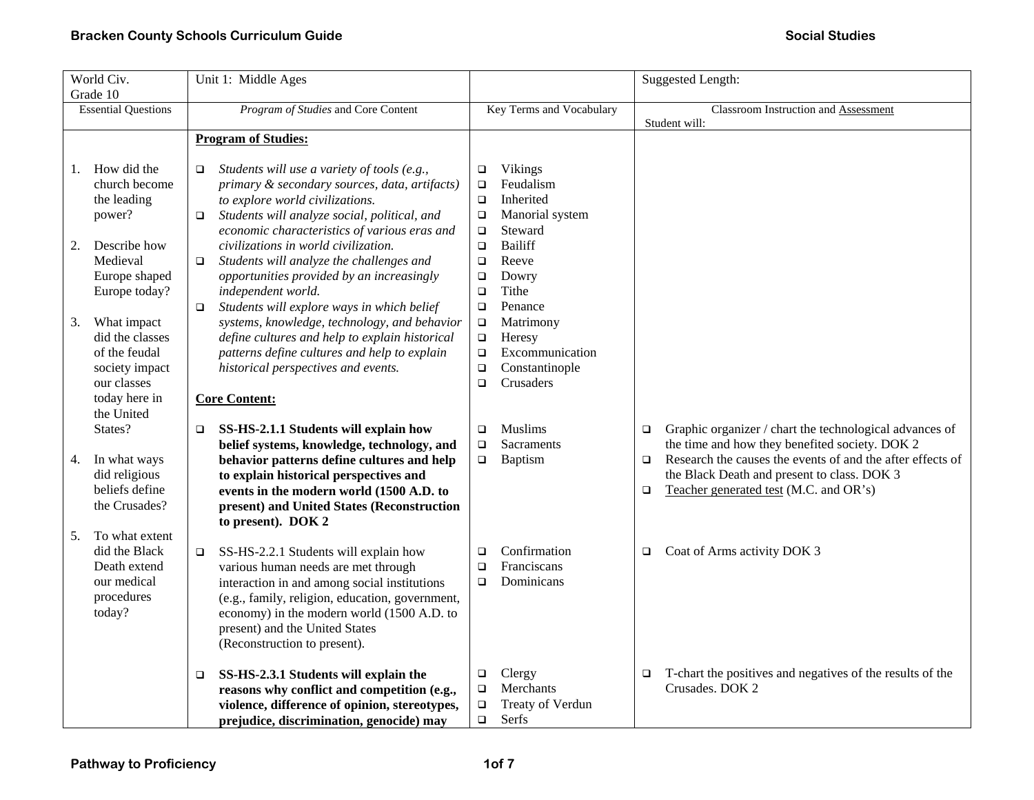| World Civ.                                                                                                                                                                                                 | Unit 1: Middle Ages                                                                                                                                                                                                                                                                                                                                                                                                                                                                                                                                                                                                                                                   |                                                                                                                                                                                                                                                                                                                                 | <b>Suggested Length:</b>                                                                                                                                                                                                                                                                       |
|------------------------------------------------------------------------------------------------------------------------------------------------------------------------------------------------------------|-----------------------------------------------------------------------------------------------------------------------------------------------------------------------------------------------------------------------------------------------------------------------------------------------------------------------------------------------------------------------------------------------------------------------------------------------------------------------------------------------------------------------------------------------------------------------------------------------------------------------------------------------------------------------|---------------------------------------------------------------------------------------------------------------------------------------------------------------------------------------------------------------------------------------------------------------------------------------------------------------------------------|------------------------------------------------------------------------------------------------------------------------------------------------------------------------------------------------------------------------------------------------------------------------------------------------|
| Grade 10                                                                                                                                                                                                   |                                                                                                                                                                                                                                                                                                                                                                                                                                                                                                                                                                                                                                                                       |                                                                                                                                                                                                                                                                                                                                 |                                                                                                                                                                                                                                                                                                |
| <b>Essential Questions</b>                                                                                                                                                                                 | Program of Studies and Core Content                                                                                                                                                                                                                                                                                                                                                                                                                                                                                                                                                                                                                                   | Key Terms and Vocabulary                                                                                                                                                                                                                                                                                                        | <b>Classroom Instruction and Assessment</b>                                                                                                                                                                                                                                                    |
|                                                                                                                                                                                                            |                                                                                                                                                                                                                                                                                                                                                                                                                                                                                                                                                                                                                                                                       |                                                                                                                                                                                                                                                                                                                                 | Student will:                                                                                                                                                                                                                                                                                  |
|                                                                                                                                                                                                            | <b>Program of Studies:</b>                                                                                                                                                                                                                                                                                                                                                                                                                                                                                                                                                                                                                                            |                                                                                                                                                                                                                                                                                                                                 |                                                                                                                                                                                                                                                                                                |
| How did the<br>1.<br>church become<br>the leading<br>power?<br>Describe how<br>2.<br>Medieval<br>Europe shaped<br>Europe today?<br>What impact<br>3.<br>did the classes<br>of the feudal<br>society impact | Students will use a variety of tools (e.g.,<br>$\Box$<br>primary & secondary sources, data, artifacts)<br>to explore world civilizations.<br>Students will analyze social, political, and<br>$\Box$<br>economic characteristics of various eras and<br>civilizations in world civilization.<br>Students will analyze the challenges and<br>$\Box$<br>opportunities provided by an increasingly<br>independent world.<br>Students will explore ways in which belief<br>$\Box$<br>systems, knowledge, technology, and behavior<br>define cultures and help to explain historical<br>patterns define cultures and help to explain<br>historical perspectives and events. | Vikings<br>$\Box$<br>Feudalism<br>$\Box$<br>Inherited<br>$\Box$<br>Manorial system<br>$\Box$<br>Steward<br>$\Box$<br><b>Bailiff</b><br>$\Box$<br>$\Box$<br>Reeve<br>Dowry<br>$\Box$<br>Tithe<br>$\Box$<br>Penance<br>$\Box$<br>Matrimony<br>$\Box$<br>Heresy<br>$\Box$<br>Excommunication<br>$\Box$<br>Constantinople<br>$\Box$ |                                                                                                                                                                                                                                                                                                |
| our classes<br>today here in                                                                                                                                                                               | <b>Core Content:</b>                                                                                                                                                                                                                                                                                                                                                                                                                                                                                                                                                                                                                                                  | Crusaders<br>$\Box$                                                                                                                                                                                                                                                                                                             |                                                                                                                                                                                                                                                                                                |
| the United                                                                                                                                                                                                 |                                                                                                                                                                                                                                                                                                                                                                                                                                                                                                                                                                                                                                                                       |                                                                                                                                                                                                                                                                                                                                 |                                                                                                                                                                                                                                                                                                |
| States?<br>In what ways<br>4.<br>did religious<br>beliefs define<br>the Crusades?                                                                                                                          | SS-HS-2.1.1 Students will explain how<br>$\Box$<br>belief systems, knowledge, technology, and<br>behavior patterns define cultures and help<br>to explain historical perspectives and<br>events in the modern world (1500 A.D. to<br>present) and United States (Reconstruction<br>to present). DOK 2                                                                                                                                                                                                                                                                                                                                                                 | <b>Muslims</b><br>$\Box$<br>Sacraments<br>$\Box$<br>Baptism<br>$\Box$                                                                                                                                                                                                                                                           | Graphic organizer / chart the technological advances of<br>$\Box$<br>the time and how they benefited society. DOK 2<br>Research the causes the events of and the after effects of<br>$\Box$<br>the Black Death and present to class. DOK 3<br>Teacher generated test (M.C. and OR's)<br>$\Box$ |
| To what extent<br>5.<br>did the Black<br>Death extend<br>our medical<br>procedures<br>today?                                                                                                               | SS-HS-2.2.1 Students will explain how<br>$\Box$<br>various human needs are met through<br>interaction in and among social institutions<br>(e.g., family, religion, education, government,<br>economy) in the modern world (1500 A.D. to<br>present) and the United States<br>(Reconstruction to present).                                                                                                                                                                                                                                                                                                                                                             | Confirmation<br>$\Box$<br>Franciscans<br>$\Box$<br>Dominicans<br>$\Box$                                                                                                                                                                                                                                                         | Coat of Arms activity DOK 3<br>$\Box$                                                                                                                                                                                                                                                          |
|                                                                                                                                                                                                            | SS-HS-2.3.1 Students will explain the<br>$\Box$<br>reasons why conflict and competition (e.g.,<br>violence, difference of opinion, stereotypes,<br>prejudice, discrimination, genocide) may                                                                                                                                                                                                                                                                                                                                                                                                                                                                           | Clergy<br>$\Box$<br>Merchants<br>$\Box$<br>$\Box$<br>Treaty of Verdun<br>Serfs<br>$\Box$                                                                                                                                                                                                                                        | T-chart the positives and negatives of the results of the<br>$\Box$<br>Crusades. DOK 2                                                                                                                                                                                                         |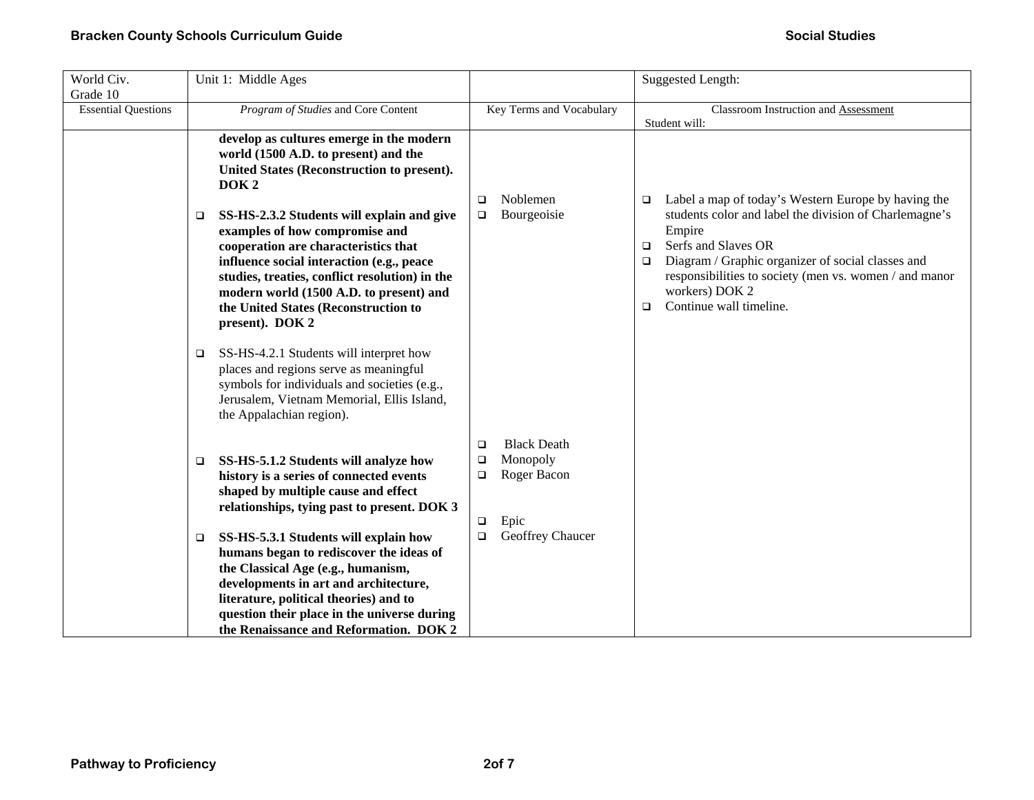| World Civ.<br>Grade 10     | Unit 1: Middle Ages                                                                                                                                                                                                                                                                                                                                                                                                                                                                                                                                                            |                                                                                          | <b>Suggested Length:</b>                                                                                                                                                                                                                                                                                                                 |
|----------------------------|--------------------------------------------------------------------------------------------------------------------------------------------------------------------------------------------------------------------------------------------------------------------------------------------------------------------------------------------------------------------------------------------------------------------------------------------------------------------------------------------------------------------------------------------------------------------------------|------------------------------------------------------------------------------------------|------------------------------------------------------------------------------------------------------------------------------------------------------------------------------------------------------------------------------------------------------------------------------------------------------------------------------------------|
| <b>Essential Questions</b> | Program of Studies and Core Content                                                                                                                                                                                                                                                                                                                                                                                                                                                                                                                                            | Key Terms and Vocabulary                                                                 | Classroom Instruction and Assessment<br>Student will:                                                                                                                                                                                                                                                                                    |
|                            | develop as cultures emerge in the modern<br>world (1500 A.D. to present) and the<br>United States (Reconstruction to present).<br>DOK <sub>2</sub><br>SS-HS-2.3.2 Students will explain and give<br>□<br>examples of how compromise and<br>cooperation are characteristics that<br>influence social interaction (e.g., peace<br>studies, treaties, conflict resolution) in the<br>modern world (1500 A.D. to present) and<br>the United States (Reconstruction to<br>present). DOK 2<br>SS-HS-4.2.1 Students will interpret how<br>□<br>places and regions serve as meaningful | Noblemen<br>$\Box$<br>Bourgeoisie<br>$\Box$                                              | Label a map of today's Western Europe by having the<br>$\Box$<br>students color and label the division of Charlemagne's<br>Empire<br>Serfs and Slaves OR<br>$\Box$<br>Diagram / Graphic organizer of social classes and<br>□<br>responsibilities to society (men vs. women / and manor<br>workers) DOK 2<br>Continue wall timeline.<br>□ |
|                            | symbols for individuals and societies (e.g.,<br>Jerusalem, Vietnam Memorial, Ellis Island,<br>the Appalachian region).                                                                                                                                                                                                                                                                                                                                                                                                                                                         |                                                                                          |                                                                                                                                                                                                                                                                                                                                          |
|                            | SS-HS-5.1.2 Students will analyze how<br>□<br>history is a series of connected events<br>shaped by multiple cause and effect<br>relationships, tying past to present. DOK 3                                                                                                                                                                                                                                                                                                                                                                                                    | <b>Black Death</b><br>$\Box$<br>Monopoly<br>$\Box$<br>Roger Bacon<br>□<br>Epic<br>$\Box$ |                                                                                                                                                                                                                                                                                                                                          |
|                            | SS-HS-5.3.1 Students will explain how<br>❏<br>humans began to rediscover the ideas of<br>the Classical Age (e.g., humanism,<br>developments in art and architecture,<br>literature, political theories) and to<br>question their place in the universe during<br>the Renaissance and Reformation. DOK 2                                                                                                                                                                                                                                                                        | Geoffrey Chaucer<br>$\Box$                                                               |                                                                                                                                                                                                                                                                                                                                          |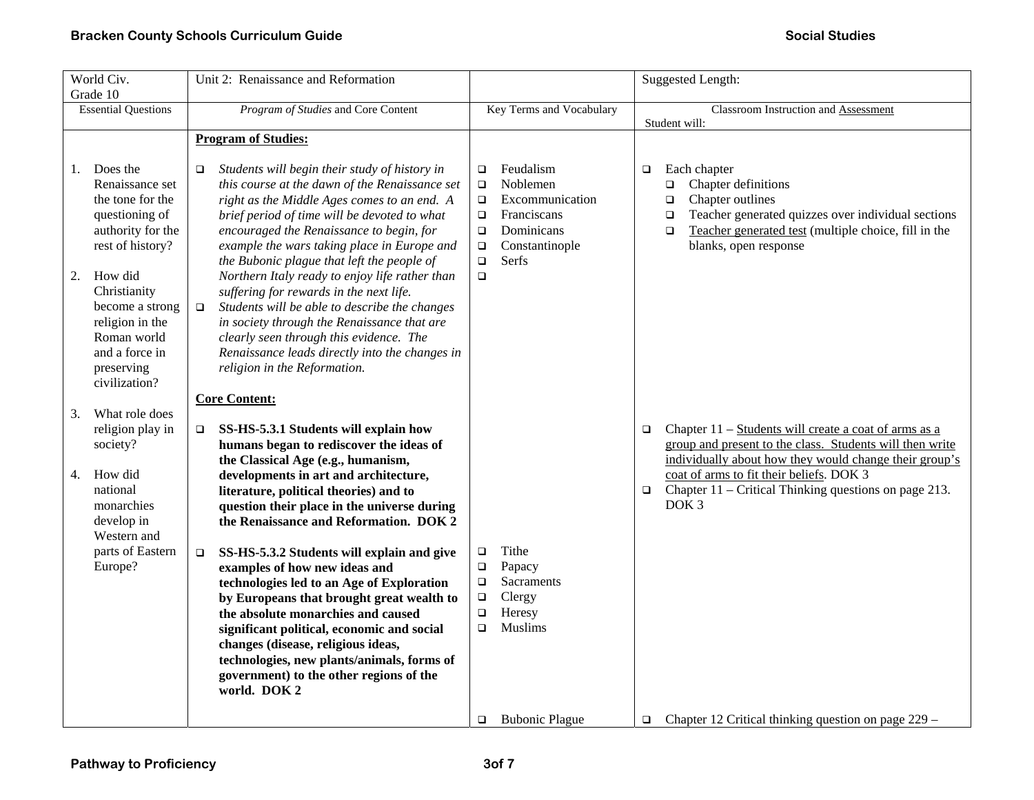| World Civ.<br>Grade 10                                                                                                                                                                                                                                  | Unit 2: Renaissance and Reformation                                                                                                                                                                                                                                                                                                                                                                                                                                                                                                                                                                                                                                                                           |                                                                                                                                                                                  | <b>Suggested Length:</b>                                                                                                                                                                                                                    |
|---------------------------------------------------------------------------------------------------------------------------------------------------------------------------------------------------------------------------------------------------------|---------------------------------------------------------------------------------------------------------------------------------------------------------------------------------------------------------------------------------------------------------------------------------------------------------------------------------------------------------------------------------------------------------------------------------------------------------------------------------------------------------------------------------------------------------------------------------------------------------------------------------------------------------------------------------------------------------------|----------------------------------------------------------------------------------------------------------------------------------------------------------------------------------|---------------------------------------------------------------------------------------------------------------------------------------------------------------------------------------------------------------------------------------------|
| <b>Essential Questions</b>                                                                                                                                                                                                                              | Program of Studies and Core Content                                                                                                                                                                                                                                                                                                                                                                                                                                                                                                                                                                                                                                                                           | Key Terms and Vocabulary                                                                                                                                                         | Classroom Instruction and Assessment<br>Student will:                                                                                                                                                                                       |
|                                                                                                                                                                                                                                                         | <b>Program of Studies:</b>                                                                                                                                                                                                                                                                                                                                                                                                                                                                                                                                                                                                                                                                                    |                                                                                                                                                                                  |                                                                                                                                                                                                                                             |
| Does the<br>1.<br>Renaissance set<br>the tone for the<br>questioning of<br>authority for the<br>rest of history?<br>How did<br>2.<br>Christianity<br>become a strong<br>religion in the<br>Roman world<br>and a force in<br>preserving<br>civilization? | Students will begin their study of history in<br>$\Box$<br>this course at the dawn of the Renaissance set<br>right as the Middle Ages comes to an end. A<br>brief period of time will be devoted to what<br>encouraged the Renaissance to begin, for<br>example the wars taking place in Europe and<br>the Bubonic plague that left the people of<br>Northern Italy ready to enjoy life rather than<br>suffering for rewards in the next life.<br>Students will be able to describe the changes<br>$\Box$<br>in society through the Renaissance that are<br>clearly seen through this evidence. The<br>Renaissance leads directly into the changes in<br>religion in the Reformation.<br><b>Core Content:</b> | Feudalism<br>$\Box$<br>Noblemen<br>$\Box$<br>$\Box$<br>Excommunication<br>Franciscans<br>$\Box$<br>Dominicans<br>$\Box$<br>Constantinople<br>$\Box$<br>Serfs<br>$\Box$<br>$\Box$ | Each chapter<br>$\Box$<br>Chapter definitions<br>o<br>Chapter outlines<br>$\Box$<br>Teacher generated quizzes over individual sections<br>$\Box$<br>Teacher generated test (multiple choice, fill in the<br>$\Box$<br>blanks, open response |
| What role does<br>3.<br>religion play in                                                                                                                                                                                                                | SS-HS-5.3.1 Students will explain how<br>$\Box$                                                                                                                                                                                                                                                                                                                                                                                                                                                                                                                                                                                                                                                               |                                                                                                                                                                                  | Chapter 11 – Students will create a coat of arms as a<br>$\Box$                                                                                                                                                                             |
| society?                                                                                                                                                                                                                                                | humans began to rediscover the ideas of<br>the Classical Age (e.g., humanism,                                                                                                                                                                                                                                                                                                                                                                                                                                                                                                                                                                                                                                 |                                                                                                                                                                                  | group and present to the class. Students will then write<br>individually about how they would change their group's                                                                                                                          |
| How did<br>4.<br>national<br>monarchies<br>develop in<br>Western and                                                                                                                                                                                    | developments in art and architecture,<br>literature, political theories) and to<br>question their place in the universe during<br>the Renaissance and Reformation. DOK 2                                                                                                                                                                                                                                                                                                                                                                                                                                                                                                                                      |                                                                                                                                                                                  | coat of arms to fit their beliefs. DOK 3<br>Chapter $11$ – Critical Thinking questions on page 213.<br>$\Box$<br>DOK <sub>3</sub>                                                                                                           |
| parts of Eastern<br>Europe?                                                                                                                                                                                                                             | SS-HS-5.3.2 Students will explain and give<br>$\Box$<br>examples of how new ideas and                                                                                                                                                                                                                                                                                                                                                                                                                                                                                                                                                                                                                         | Tithe<br>$\Box$<br>$\Box$<br>Papacy                                                                                                                                              |                                                                                                                                                                                                                                             |
|                                                                                                                                                                                                                                                         | technologies led to an Age of Exploration<br>by Europeans that brought great wealth to                                                                                                                                                                                                                                                                                                                                                                                                                                                                                                                                                                                                                        | $\Box$<br><b>Sacraments</b><br>Clergy<br>$\Box$                                                                                                                                  |                                                                                                                                                                                                                                             |
|                                                                                                                                                                                                                                                         | the absolute monarchies and caused<br>significant political, economic and social                                                                                                                                                                                                                                                                                                                                                                                                                                                                                                                                                                                                                              | Heresy<br>$\Box$<br><b>Muslims</b><br>$\Box$                                                                                                                                     |                                                                                                                                                                                                                                             |
|                                                                                                                                                                                                                                                         | changes (disease, religious ideas,<br>technologies, new plants/animals, forms of<br>government) to the other regions of the<br>world. DOK 2                                                                                                                                                                                                                                                                                                                                                                                                                                                                                                                                                                   |                                                                                                                                                                                  |                                                                                                                                                                                                                                             |
|                                                                                                                                                                                                                                                         |                                                                                                                                                                                                                                                                                                                                                                                                                                                                                                                                                                                                                                                                                                               | <b>Bubonic Plague</b><br>$\Box$                                                                                                                                                  | Chapter 12 Critical thinking question on page 229 –<br>$\Box$                                                                                                                                                                               |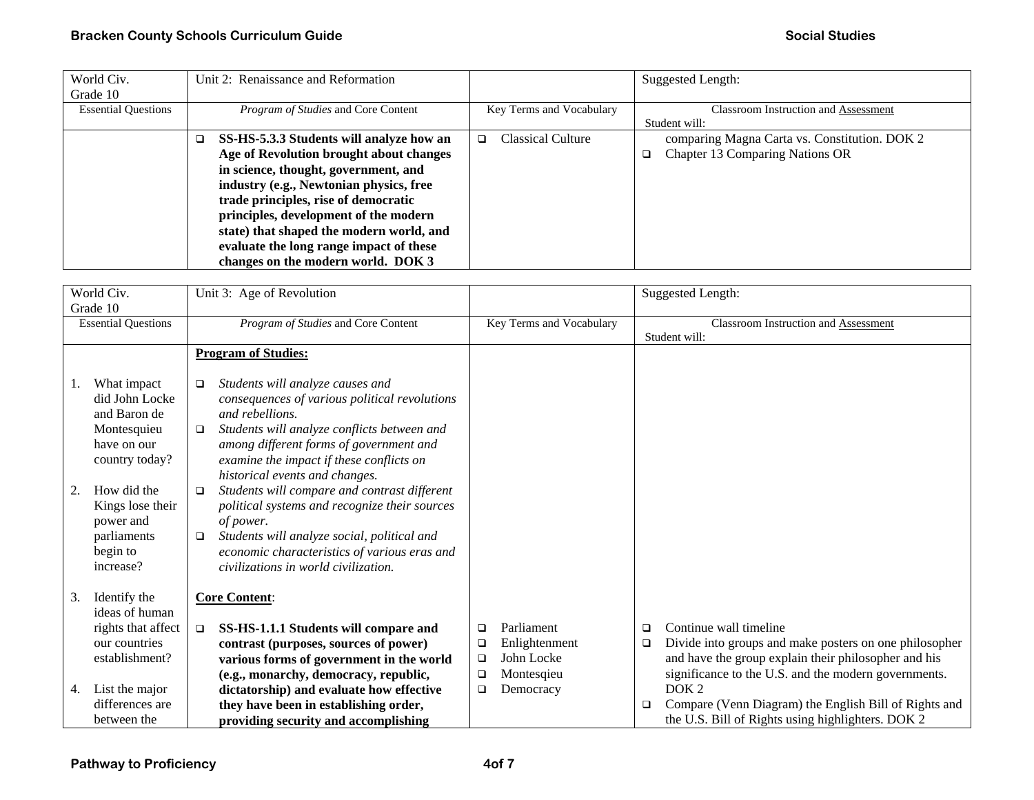| World Civ.                 | Unit 2: Renaissance and Reformation      |                          | Suggested Length:                             |
|----------------------------|------------------------------------------|--------------------------|-----------------------------------------------|
| Grade 10                   |                                          |                          |                                               |
| <b>Essential Questions</b> | Program of Studies and Core Content      | Key Terms and Vocabulary | <b>Classroom Instruction and Assessment</b>   |
|                            |                                          |                          | Student will:                                 |
|                            | SS-HS-5.3.3 Students will analyze how an | Classical Culture<br>❏   | comparing Magna Carta vs. Constitution. DOK 2 |
|                            | Age of Revolution brought about changes  |                          | Chapter 13 Comparing Nations OR<br>o.         |
|                            | in science, thought, government, and     |                          |                                               |
|                            | industry (e.g., Newtonian physics, free  |                          |                                               |
|                            | trade principles, rise of democratic     |                          |                                               |
|                            | principles, development of the modern    |                          |                                               |
|                            | state) that shaped the modern world, and |                          |                                               |
|                            | evaluate the long range impact of these  |                          |                                               |
|                            | changes on the modern world. DOK 3       |                          |                                               |

|    | World Civ.<br>Grade 10                                                                        | Unit 3: Age of Revolution                                                                                                                                                                                                                                                                               |             |                             |             | <b>Suggested Length:</b>                                                                                   |
|----|-----------------------------------------------------------------------------------------------|---------------------------------------------------------------------------------------------------------------------------------------------------------------------------------------------------------------------------------------------------------------------------------------------------------|-------------|-----------------------------|-------------|------------------------------------------------------------------------------------------------------------|
|    | <b>Essential Questions</b>                                                                    | Program of Studies and Core Content                                                                                                                                                                                                                                                                     |             | Key Terms and Vocabulary    |             | <b>Classroom Instruction and Assessment</b><br>Student will:                                               |
|    |                                                                                               | <b>Program of Studies:</b>                                                                                                                                                                                                                                                                              |             |                             |             |                                                                                                            |
| Ι. | What impact<br>did John Locke<br>and Baron de<br>Montesquieu<br>have on our<br>country today? | Students will analyze causes and<br>$\Box$<br>consequences of various political revolutions<br>and rebellions.<br>Students will analyze conflicts between and<br>□<br>among different forms of government and<br>examine the impact if these conflicts on                                               |             |                             |             |                                                                                                            |
| 2. | How did the<br>Kings lose their<br>power and<br>parliaments<br>begin to<br>increase?          | historical events and changes.<br>Students will compare and contrast different<br>$\Box$<br>political systems and recognize their sources<br>of power.<br>Students will analyze social, political and<br>$\Box$<br>economic characteristics of various eras and<br>civilizations in world civilization. |             |                             |             |                                                                                                            |
| 3. | Identify the<br>ideas of human<br>rights that affect<br>our countries                         | <b>Core Content:</b><br>SS-HS-1.1.1 Students will compare and<br>$\Box$<br>contrast (purposes, sources of power)                                                                                                                                                                                        | □<br>❏      | Parliament<br>Enlightenment | □<br>$\Box$ | Continue wall timeline<br>Divide into groups and make posters on one philosopher                           |
|    | establishment?                                                                                | various forms of government in the world                                                                                                                                                                                                                                                                | $\Box$      | John Locke                  |             | and have the group explain their philosopher and his                                                       |
| 4. | List the major                                                                                | (e.g., monarchy, democracy, republic,<br>dictatorship) and evaluate how effective                                                                                                                                                                                                                       | □<br>$\Box$ | Montesqieu<br>Democracy     |             | significance to the U.S. and the modern governments.<br>DOK <sub>2</sub>                                   |
|    | differences are<br>between the                                                                | they have been in establishing order,<br>providing security and accomplishing                                                                                                                                                                                                                           |             |                             | ❏           | Compare (Venn Diagram) the English Bill of Rights and<br>the U.S. Bill of Rights using highlighters. DOK 2 |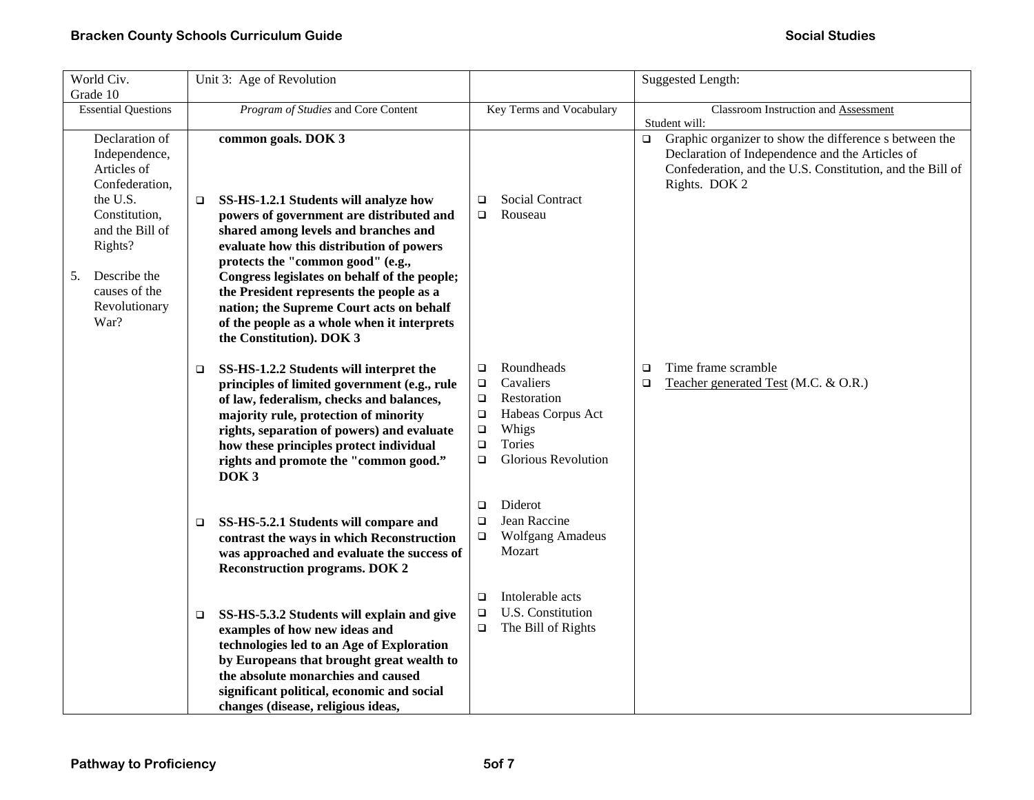| World Civ.                                                                                                  | Unit 3: Age of Revolution                                                                                                                                                                                                                                                                                                                                                            |                                                                                                                                                                                    | <b>Suggested Length:</b>                                                                                                                                                                          |
|-------------------------------------------------------------------------------------------------------------|--------------------------------------------------------------------------------------------------------------------------------------------------------------------------------------------------------------------------------------------------------------------------------------------------------------------------------------------------------------------------------------|------------------------------------------------------------------------------------------------------------------------------------------------------------------------------------|---------------------------------------------------------------------------------------------------------------------------------------------------------------------------------------------------|
| Grade 10                                                                                                    |                                                                                                                                                                                                                                                                                                                                                                                      |                                                                                                                                                                                    |                                                                                                                                                                                                   |
| <b>Essential Questions</b>                                                                                  | Program of Studies and Core Content                                                                                                                                                                                                                                                                                                                                                  | Key Terms and Vocabulary                                                                                                                                                           | Classroom Instruction and Assessment<br>Student will:                                                                                                                                             |
| Declaration of<br>Independence,<br>Articles of<br>Confederation,<br>the U.S.                                | common goals. DOK 3<br>SS-HS-1.2.1 Students will analyze how<br>□                                                                                                                                                                                                                                                                                                                    | <b>Social Contract</b><br>$\Box$                                                                                                                                                   | Graphic organizer to show the difference s between the<br>$\Box$<br>Declaration of Independence and the Articles of<br>Confederation, and the U.S. Constitution, and the Bill of<br>Rights. DOK 2 |
| Constitution,<br>and the Bill of<br>Rights?<br>Describe the<br>5.<br>causes of the<br>Revolutionary<br>War? | powers of government are distributed and<br>shared among levels and branches and<br>evaluate how this distribution of powers<br>protects the "common good" (e.g.,<br>Congress legislates on behalf of the people;<br>the President represents the people as a<br>nation; the Supreme Court acts on behalf<br>of the people as a whole when it interprets<br>the Constitution). DOK 3 | Rouseau<br>$\Box$                                                                                                                                                                  |                                                                                                                                                                                                   |
|                                                                                                             | SS-HS-1.2.2 Students will interpret the<br>❏<br>principles of limited government (e.g., rule<br>of law, federalism, checks and balances,<br>majority rule, protection of minority<br>rights, separation of powers) and evaluate<br>how these principles protect individual<br>rights and promote the "common good."<br>DOK <sub>3</sub>                                              | Roundheads<br>$\Box$<br>Cavaliers<br>$\Box$<br>Restoration<br>$\Box$<br>Habeas Corpus Act<br>$\Box$<br>Whigs<br>$\Box$<br>Tories<br>$\Box$<br><b>Glorious Revolution</b><br>$\Box$ | Time frame scramble<br>□<br>Teacher generated Test (M.C. & O.R.)<br>$\Box$                                                                                                                        |
|                                                                                                             | SS-HS-5.2.1 Students will compare and<br>❏<br>contrast the ways in which Reconstruction<br>was approached and evaluate the success of<br><b>Reconstruction programs. DOK 2</b>                                                                                                                                                                                                       | Diderot<br>$\Box$<br>Jean Raccine<br>$\Box$<br><b>Wolfgang Amadeus</b><br>$\Box$<br>Mozart                                                                                         |                                                                                                                                                                                                   |
|                                                                                                             | SS-HS-5.3.2 Students will explain and give<br>❏<br>examples of how new ideas and<br>technologies led to an Age of Exploration<br>by Europeans that brought great wealth to<br>the absolute monarchies and caused<br>significant political, economic and social<br>changes (disease, religious ideas,                                                                                 | Intolerable acts<br>□<br>U.S. Constitution<br>$\Box$<br>$\Box$<br>The Bill of Rights                                                                                               |                                                                                                                                                                                                   |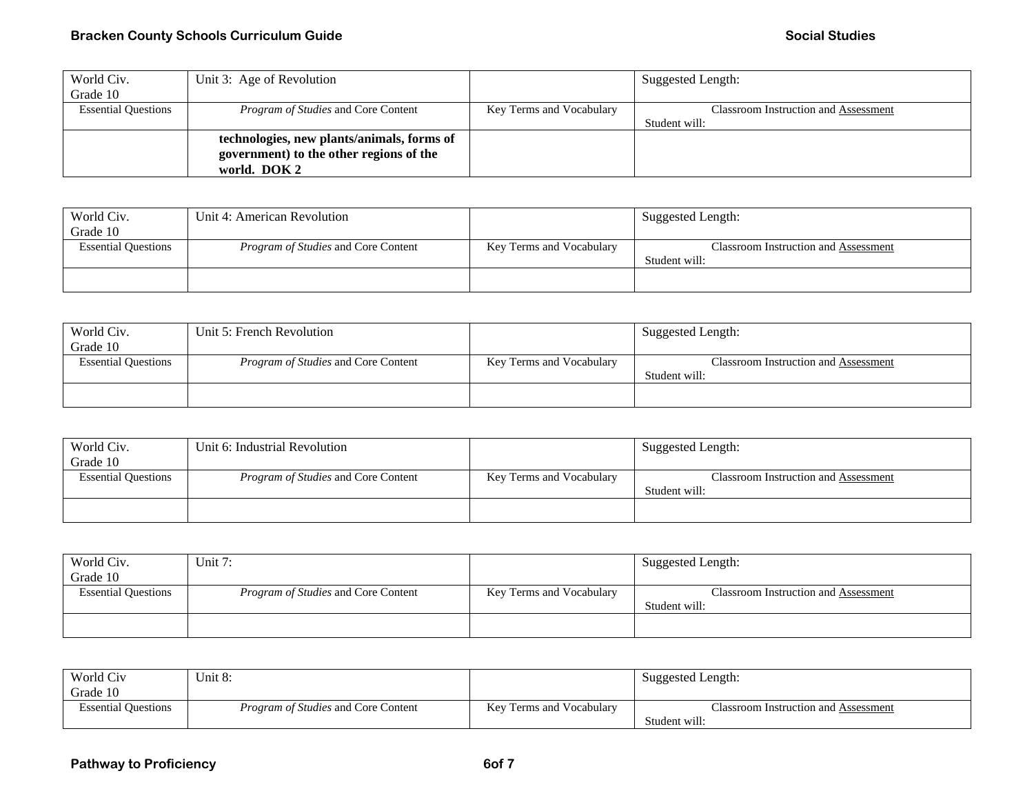| World Civ.                 | Unit 3: Age of Revolution                  |                          | Suggested Length:                    |
|----------------------------|--------------------------------------------|--------------------------|--------------------------------------|
| Grade 10                   |                                            |                          |                                      |
| <b>Essential Questions</b> | <i>Program of Studies</i> and Core Content | Key Terms and Vocabulary | Classroom Instruction and Assessment |
|                            |                                            |                          | Student will:                        |
|                            | technologies, new plants/animals, forms of |                          |                                      |
|                            | government) to the other regions of the    |                          |                                      |
|                            | world. DOK 2                               |                          |                                      |

| World Civ.                 | Unit 4: American Revolution                |                          | Suggested Length:                    |
|----------------------------|--------------------------------------------|--------------------------|--------------------------------------|
| Grade 10                   |                                            |                          |                                      |
| <b>Essential Questions</b> | <i>Program of Studies</i> and Core Content | Key Terms and Vocabulary | Classroom Instruction and Assessment |
|                            |                                            |                          | Student will:                        |
|                            |                                            |                          |                                      |
|                            |                                            |                          |                                      |

| World Civ.                 | Unit 5: French Revolution                  |                          | Suggested Length:                           |
|----------------------------|--------------------------------------------|--------------------------|---------------------------------------------|
| Grade 10                   |                                            |                          |                                             |
| <b>Essential Questions</b> | <i>Program of Studies</i> and Core Content | Key Terms and Vocabulary | <b>Classroom Instruction and Assessment</b> |
|                            |                                            |                          | Student will:                               |
|                            |                                            |                          |                                             |
|                            |                                            |                          |                                             |

| World Civ.                 | Unit 6: Industrial Revolution              |                          | Suggested Length:                    |
|----------------------------|--------------------------------------------|--------------------------|--------------------------------------|
| Grade 10                   |                                            |                          |                                      |
| <b>Essential Questions</b> | <i>Program of Studies</i> and Core Content | Key Terms and Vocabulary | Classroom Instruction and Assessment |
|                            |                                            |                          | Student will:                        |
|                            |                                            |                          |                                      |
|                            |                                            |                          |                                      |

| World Civ.                 | Unit $7:$                                  |                          | Suggested Length:                    |
|----------------------------|--------------------------------------------|--------------------------|--------------------------------------|
| Grade 10                   |                                            |                          |                                      |
| <b>Essential Questions</b> | <i>Program of Studies</i> and Core Content | Key Terms and Vocabulary | Classroom Instruction and Assessment |
|                            |                                            |                          | Student will:                        |
|                            |                                            |                          |                                      |
|                            |                                            |                          |                                      |

| World Civ<br>Grade 10      | Unit 8:                                    |                          | Suggested Length:                                     |
|----------------------------|--------------------------------------------|--------------------------|-------------------------------------------------------|
| <b>Essential Questions</b> | <i>Program of Studies</i> and Core Content | Key Terms and Vocabulary | Classroom Instruction and Assessment<br>Student will: |